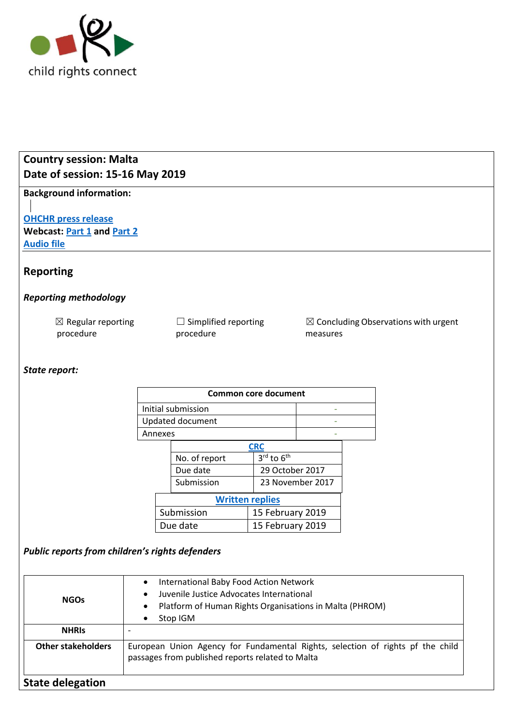

# **Country session: Malta Date of session: 15-16 May 2019**

**Background information:**

**[OHCHR press release](https://www.ohchr.org/EN/NewsEvents/Pages/DisplayNews.aspx?NewsID=24617&LangID=E) Webcast: [Part 1](http://webtv.un.org/meetings-events/human-rights-treaty-bodies/committee-on-the-rights-of-the-child/81st-session/watch/consideration-of-malta-2376th-meeting-81st-session-committee-on-the-rights-of-the-child/6037507089001) and [Part 2](http://webtv.un.org/meetings-events/human-rights-treaty-bodies/committee-on-the-rights-of-the-child/81st-session/watch/consideration-of-malta-contd-2377th-meeting-81st-session-committee-on-the-rights-of-the-child/6037679570001/?term=) [Audio file](https://conf.unog.ch/digitalrecordings/)** 

## **Reporting**

## *Reporting methodology*

| $\boxtimes$ Regular reporting | $\Box$ Simplified reporting |
|-------------------------------|-----------------------------|
| procedure                     | procedure                   |

 $\boxtimes$  Concluding Observations with urgent measures

## *State report:*

| <b>Common core document</b>        |                  |  |  |  |
|------------------------------------|------------------|--|--|--|
|                                    |                  |  |  |  |
| Updated document                   |                  |  |  |  |
| Annexes                            |                  |  |  |  |
| <b>CRC</b>                         |                  |  |  |  |
| $3^{\text{rd}}$ to $6^{\text{th}}$ |                  |  |  |  |
| 29 October 2017                    |                  |  |  |  |
|                                    | 23 November 2017 |  |  |  |
| <b>Written replies</b>             |                  |  |  |  |
| 15 February 2019                   |                  |  |  |  |
| 15 February 2019                   |                  |  |  |  |
|                                    |                  |  |  |  |

## *Public reports from children's rights defenders*

| <b>NGOs</b>               | Platform of Human Rights Organisations in Malta (PHROM)                                                                            |  |
|---------------------------|------------------------------------------------------------------------------------------------------------------------------------|--|
| <b>NHRIS</b>              | Stop IGM                                                                                                                           |  |
| <b>Other stakeholders</b> | European Union Agency for Fundamental Rights, selection of rights pf the child<br>passages from published reports related to Malta |  |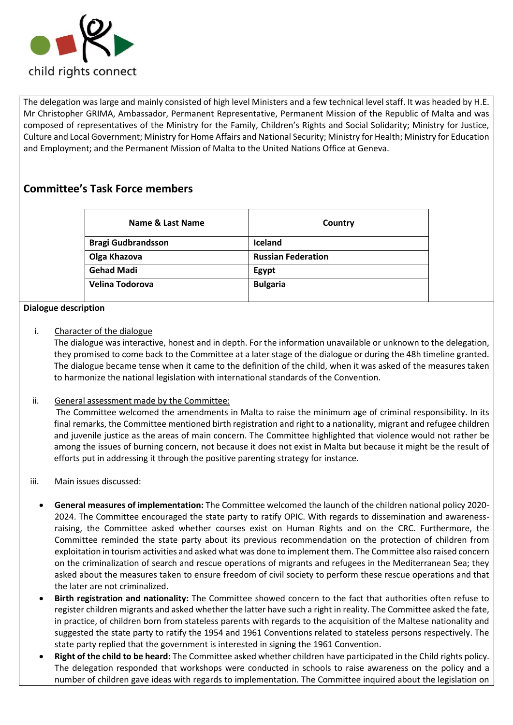

The delegation was large and mainly consisted of high level Ministers and a few technical level staff. It was headed by H.E. Mr Christopher GRIMA, Ambassador, Permanent Representative, Permanent Mission of the Republic of Malta and was composed of representatives of the Ministry for the Family, Children's Rights and Social Solidarity; Ministry for Justice, Culture and Local Government; Ministry for Home Affairs and National Security; Ministry for Health; Ministry for Education and Employment; and the Permanent Mission of Malta to the United Nations Office at Geneva.

## **Committee's Task Force members**

| Name & Last Name          | Country                   |
|---------------------------|---------------------------|
| <b>Bragi Gudbrandsson</b> | <b>Iceland</b>            |
| Olga Khazova              | <b>Russian Federation</b> |
| <b>Gehad Madi</b>         | Egypt                     |
| Velina Todorova           | <b>Bulgaria</b>           |

#### **Dialogue description**

i. Character of the dialogue

The dialogue was interactive, honest and in depth. For the information unavailable or unknown to the delegation, they promised to come back to the Committee at a later stage of the dialogue or during the 48h timeline granted. The dialogue became tense when it came to the definition of the child, when it was asked of the measures taken to harmonize the national legislation with international standards of the Convention.

ii. General assessment made by the Committee:

The Committee welcomed the amendments in Malta to raise the minimum age of criminal responsibility. In its final remarks, the Committee mentioned birth registration and right to a nationality, migrant and refugee children and juvenile justice as the areas of main concern. The Committee highlighted that violence would not rather be among the issues of burning concern, not because it does not exist in Malta but because it might be the result of efforts put in addressing it through the positive parenting strategy for instance.

- iii. Main issues discussed:
	- **General measures of implementation:** The Committee welcomed the launch of the children national policy 2020- 2024. The Committee encouraged the state party to ratify OPIC. With regards to dissemination and awarenessraising, the Committee asked whether courses exist on Human Rights and on the CRC. Furthermore, the Committee reminded the state party about its previous recommendation on the protection of children from exploitation in tourism activities and asked what was done to implement them. The Committee also raised concern on the criminalization of search and rescue operations of migrants and refugees in the Mediterranean Sea; they asked about the measures taken to ensure freedom of civil society to perform these rescue operations and that the later are not criminalized.
	- **Birth registration and nationality:** The Committee showed concern to the fact that authorities often refuse to register children migrants and asked whether the latter have such a right in reality. The Committee asked the fate, in practice, of children born from stateless parents with regards to the acquisition of the Maltese nationality and suggested the state party to ratify the 1954 and 1961 Conventions related to stateless persons respectively. The state party replied that the government is interested in signing the 1961 Convention.
	- **Right of the child to be heard:** The Committee asked whether children have participated in the Child rights policy. The delegation responded that workshops were conducted in schools to raise awareness on the policy and a number of children gave ideas with regards to implementation. The Committee inquired about the legislation on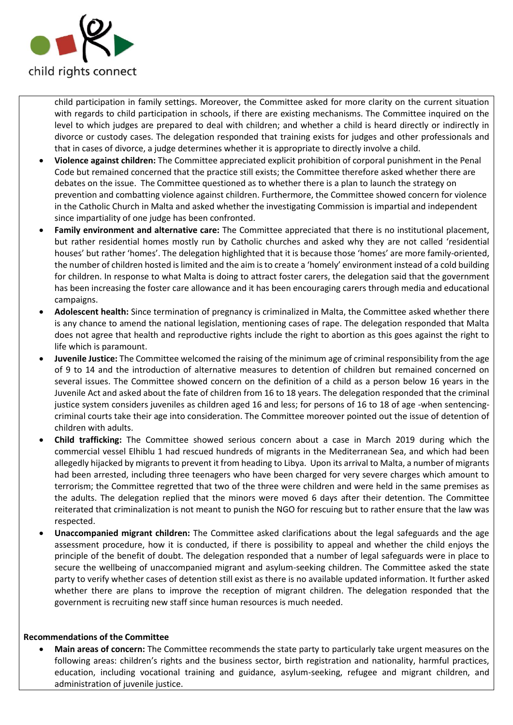

child participation in family settings. Moreover, the Committee asked for more clarity on the current situation with regards to child participation in schools, if there are existing mechanisms. The Committee inquired on the level to which judges are prepared to deal with children; and whether a child is heard directly or indirectly in divorce or custody cases. The delegation responded that training exists for judges and other professionals and that in cases of divorce, a judge determines whether it is appropriate to directly involve a child.

- **Violence against children:** The Committee appreciated explicit prohibition of corporal punishment in the Penal Code but remained concerned that the practice still exists; the Committee therefore asked whether there are debates on the issue. The Committee questioned as to whether there is a plan to launch the strategy on prevention and combatting violence against children. Furthermore, the Committee showed concern for violence in the Catholic Church in Malta and asked whether the investigating Commission is impartial and independent since impartiality of one judge has been confronted.
- **Family environment and alternative care:** The Committee appreciated that there is no institutional placement, but rather residential homes mostly run by Catholic churches and asked why they are not called 'residential houses' but rather 'homes'. The delegation highlighted that it is because those 'homes' are more family-oriented, the number of children hosted is limited and the aim is to create a 'homely' environment instead of a cold building for children. In response to what Malta is doing to attract foster carers, the delegation said that the government has been increasing the foster care allowance and it has been encouraging carers through media and educational campaigns.
- **Adolescent health:** Since termination of pregnancy is criminalized in Malta, the Committee asked whether there is any chance to amend the national legislation, mentioning cases of rape. The delegation responded that Malta does not agree that health and reproductive rights include the right to abortion as this goes against the right to life which is paramount.
- **Juvenile Justice:** The Committee welcomed the raising of the minimum age of criminal responsibility from the age of 9 to 14 and the introduction of alternative measures to detention of children but remained concerned on several issues. The Committee showed concern on the definition of a child as a person below 16 years in the Juvenile Act and asked about the fate of children from 16 to 18 years. The delegation responded that the criminal justice system considers juveniles as children aged 16 and less; for persons of 16 to 18 of age -when sentencingcriminal courts take their age into consideration. The Committee moreover pointed out the issue of detention of children with adults.
- **Child trafficking:** The Committee showed serious concern about a case in March 2019 during which the commercial vessel Elhiblu 1 had rescued hundreds of migrants in the Mediterranean Sea, and which had been allegedly hijacked by migrants to prevent it from heading to Libya. Upon its arrival to Malta, a number of migrants had been arrested, including three teenagers who have been charged for very severe charges which amount to terrorism; the Committee regretted that two of the three were children and were held in the same premises as the adults. The delegation replied that the minors were moved 6 days after their detention. The Committee reiterated that criminalization is not meant to punish the NGO for rescuing but to rather ensure that the law was respected.
- **Unaccompanied migrant children:** The Committee asked clarifications about the legal safeguards and the age assessment procedure, how it is conducted, if there is possibility to appeal and whether the child enjoys the principle of the benefit of doubt. The delegation responded that a number of legal safeguards were in place to secure the wellbeing of unaccompanied migrant and asylum-seeking children. The Committee asked the state party to verify whether cases of detention still exist as there is no available updated information. It further asked whether there are plans to improve the reception of migrant children. The delegation responded that the government is recruiting new staff since human resources is much needed.

#### **Recommendations of the Committee**

• **Main areas of concern:** The Committee recommends the state party to particularly take urgent measures on the following areas: children's rights and the business sector, birth registration and nationality, harmful practices, education, including vocational training and guidance, asylum-seeking, refugee and migrant children, and administration of juvenile justice.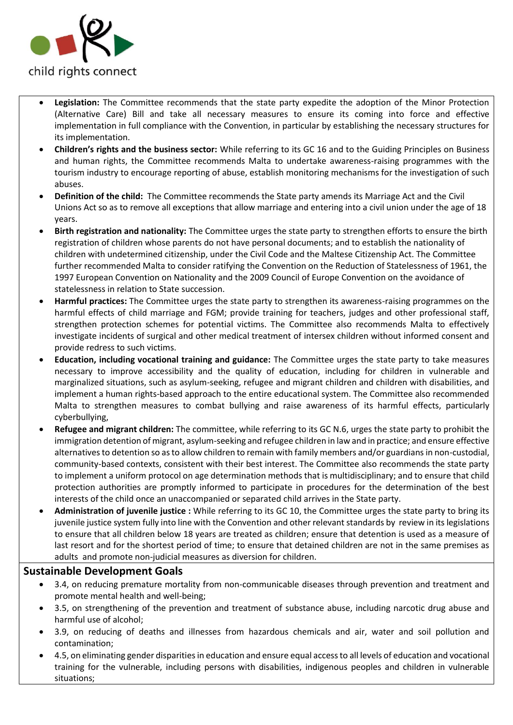

- **Legislation:** The Committee recommends that the state party expedite the adoption of the Minor Protection (Alternative Care) Bill and take all necessary measures to ensure its coming into force and effective implementation in full compliance with the Convention, in particular by establishing the necessary structures for its implementation.
- **Children's rights and the business sector:** While referring to its GC 16 and to the Guiding Principles on Business and human rights, the Committee recommends Malta to undertake awareness-raising programmes with the tourism industry to encourage reporting of abuse, establish monitoring mechanisms for the investigation of such abuses.
- **Definition of the child:** The Committee recommends the State party amends its Marriage Act and the Civil Unions Act so as to remove all exceptions that allow marriage and entering into a civil union under the age of 18 years.
- **Birth registration and nationality:** The Committee urges the state party to strengthen efforts to ensure the birth registration of children whose parents do not have personal documents; and to establish the nationality of children with undetermined citizenship, under the Civil Code and the Maltese Citizenship Act. The Committee further recommended Malta to consider ratifying the Convention on the Reduction of Statelessness of 1961, the 1997 European Convention on Nationality and the 2009 Council of Europe Convention on the avoidance of statelessness in relation to State succession.
- **Harmful practices:** The Committee urges the state party to strengthen its awareness-raising programmes on the harmful effects of child marriage and FGM; provide training for teachers, judges and other professional staff, strengthen protection schemes for potential victims. The Committee also recommends Malta to effectively investigate incidents of surgical and other medical treatment of intersex children without informed consent and provide redress to such victims.
- **Education, including vocational training and guidance:** The Committee urges the state party to take measures necessary to improve accessibility and the quality of education, including for children in vulnerable and marginalized situations, such as asylum-seeking, refugee and migrant children and children with disabilities, and implement a human rights-based approach to the entire educational system. The Committee also recommended Malta to strengthen measures to combat bullying and raise awareness of its harmful effects, particularly cyberbullying,
- **Refugee and migrant children:** The committee, while referring to its GC N.6, urges the state party to prohibit the immigration detention of migrant, asylum-seeking and refugee children in law and in practice; and ensure effective alternatives to detention so as to allow children to remain with family members and/or guardians in non-custodial, community-based contexts, consistent with their best interest. The Committee also recommends the state party to implement a uniform protocol on age determination methods that is multidisciplinary; and to ensure that child protection authorities are promptly informed to participate in procedures for the determination of the best interests of the child once an unaccompanied or separated child arrives in the State party.
- **Administration of juvenile justice :** While referring to its GC 10, the Committee urges the state party to bring its juvenile justice system fully into line with the Convention and other relevant standards by review in its legislations to ensure that all children below 18 years are treated as children; ensure that detention is used as a measure of last resort and for the shortest period of time; to ensure that detained children are not in the same premises as adults and promote non-judicial measures as diversion for children.

## **Sustainable Development Goals**

- 3.4, on reducing premature mortality from non-communicable diseases through prevention and treatment and promote mental health and well-being;
- 3.5, on strengthening of the prevention and treatment of substance abuse, including narcotic drug abuse and harmful use of alcohol;
- 3.9, on reducing of deaths and illnesses from hazardous chemicals and air, water and soil pollution and contamination;
- 4.5, on eliminating gender disparities in education and ensure equal access to all levels of education and vocational training for the vulnerable, including persons with disabilities, indigenous peoples and children in vulnerable situations;